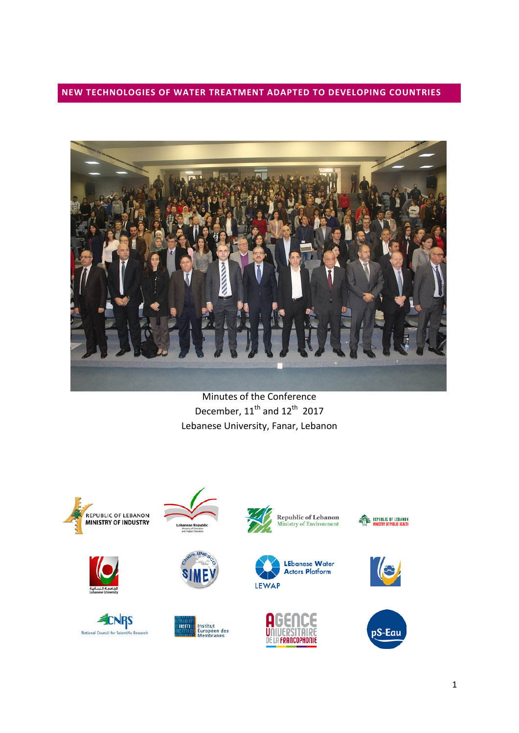**NEW TECHNOLOGIES OF WATER TREATMENT ADAPTED TO DEVELOPING COUNTRIES**



Minutes of the Conference December, 11<sup>th</sup> and 12<sup>th</sup> 2017 Lebanese University, Fanar, Lebanon









Institut<br>Européen des<br>Membranes

 $n$ 









**ALL REPUBLIC OF LEBANON**<br>WINISTRY OF PUBLIC HEALTH



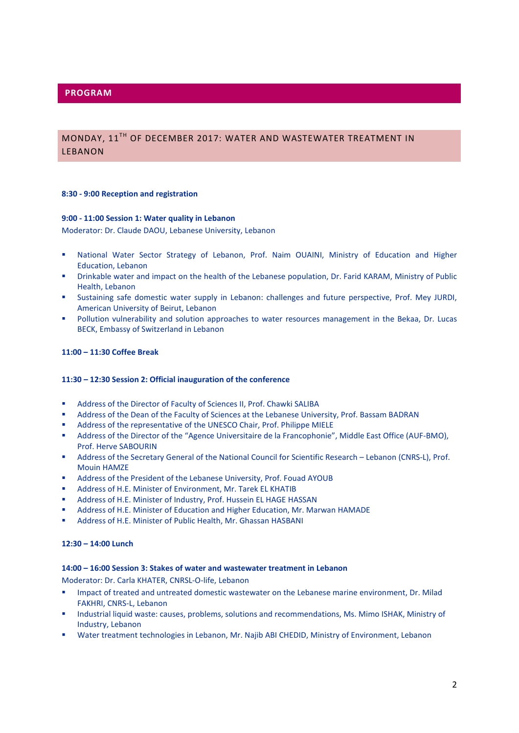# MONDAY, 11TH OF DECEMBER 2017: WATER AND WASTEWATER TREATMENT IN LEBANON

#### **8:30 - 9:00 Reception and registration**

#### **9:00 - 11:00 Session 1: Water quality in Lebanon**

Moderator: Dr. Claude DAOU, Lebanese University, Lebanon

- National Water Sector Strategy of Lebanon, Prof. Naim OUAINI, Ministry of Education and Higher Education, Lebanon
- Drinkable water and impact on the health of the Lebanese population, Dr. Farid KARAM, Ministry of Public Health, Lebanon
- **Sustaining safe domestic water supply in Lebanon: challenges and future perspective, Prof. Mey JURDI,** American University of Beirut, Lebanon
- **Pollution vulnerability and solution approaches to water resources management in the Bekaa, Dr. Lucas** BECK, Embassy of Switzerland in Lebanon

### **11:00 – 11:30 Coffee Break**

### **11:30 – 12:30 Session 2: Official inauguration of the conference**

- Address of the Director of Faculty of Sciences II, Prof. Chawki SALIBA
- Address of the Dean of the Faculty of Sciences at the Lebanese University, Prof. Bassam BADRAN
- Address of the representative of the UNESCO Chair, Prof. Philippe MIELE
- Address of the Director of the "Agence Universitaire de la Francophonie", Middle East Office (AUF-BMO), Prof. Herve SABOURIN
- Address of the Secretary General of the National Council for Scientific Research Lebanon (CNRS-L), Prof. Mouin HAMZE
- Address of the President of the Lebanese University, Prof. Fouad AYOUB
- Address of H.E. Minister of Environment, Mr. Tarek EL KHATIB
- Address of H.E. Minister of Industry, Prof. Hussein EL HAGE HASSAN
- Address of H.E. Minister of Education and Higher Education, Mr. Marwan HAMADE
- Address of H.E. Minister of Public Health, Mr. Ghassan HASBANI

### **12:30 – 14:00 Lunch**

### **14:00 – 16:00 Session 3: Stakes of water and wastewater treatment in Lebanon**

Moderator: Dr. Carla KHATER, CNRSL-O-life, Lebanon

- **Impact of treated and untreated domestic wastewater on the Lebanese marine environment, Dr. Milad** FAKHRI, CNRS-L, Lebanon
- Industrial liquid waste: causes, problems, solutions and recommendations, Ms. Mimo ISHAK, Ministry of Industry, Lebanon
- Water treatment technologies in Lebanon, Mr. Najib ABI CHEDID, Ministry of Environment, Lebanon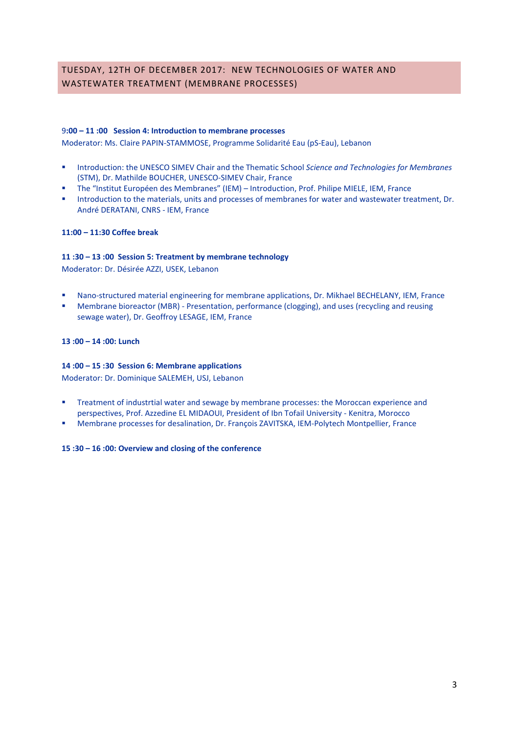# TUESDAY, 12TH OF DECEMBER 2017: NEW TECHNOLOGIES OF WATER AND WASTEWATER TREATMENT (MEMBRANE PROCESSES)

## 9**:00 – 11 :00 Session 4: Introduction to membrane processes**

Moderator: Ms. Claire PAPIN-STAMMOSE, Programme Solidarité Eau (pS-Eau), Lebanon

- **Introduction: the UNESCO SIMEV Chair and the Thematic School** *Science and Technologies for Membranes* (STM), Dr. Mathilde BOUCHER, UNESCO-SIMEV Chair, France
- The "Institut Européen des Membranes" (IEM) Introduction, Prof. Philipe MIELE, IEM, France
- **Introduction to the materials, units and processes of membranes for water and wastewater treatment, Dr.** André DERATANI, CNRS - IEM, France

## **11:00 – 11:30 Coffee break**

## **11 :30 – 13 :00 Session 5: Treatment by membrane technology**

Moderator: Dr. Désirée AZZI, USEK, Lebanon

- Nano-structured material engineering for membrane applications, Dr. Mikhael BECHELANY, IEM, France
- Membrane bioreactor (MBR) Presentation, performance (clogging), and uses (recycling and reusing sewage water), Dr. Geoffroy LESAGE, IEM, France

### **13 :00 – 14 :00: Lunch**

## **14 :00 – 15 :30 Session 6: Membrane applications**

Moderator: Dr. Dominique SALEMEH, USJ, Lebanon

- **Treatment of industrtial water and sewage by membrane processes: the Moroccan experience and** perspectives, Prof. Azzedine EL MIDAOUI, President of Ibn Tofail University - Kenitra, Morocco
- Membrane processes for desalination, Dr. François ZAVITSKA, IEM-Polytech Montpellier, France

### **15 :30 – 16 :00: Overview and closing of the conference**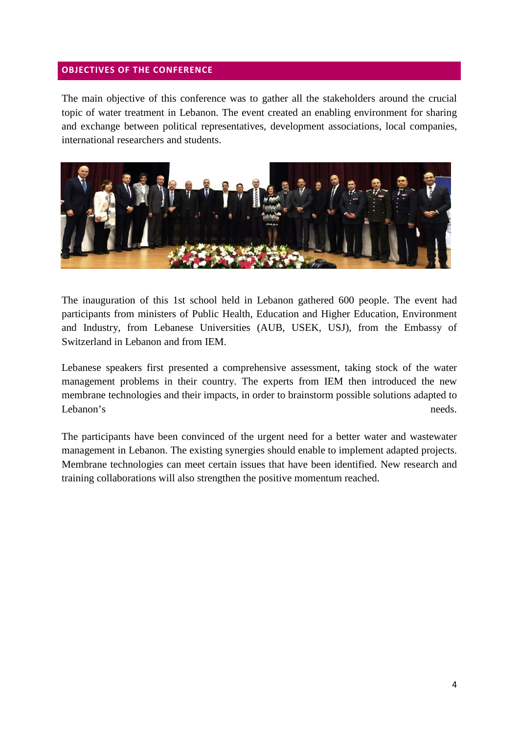## **OBJECTIVES OF THE CONFERENCE**

The main objective of this conference was to gather all the stakeholders around the crucial topic of water treatment in Lebanon. The event created an enabling environment for sharing and exchange between political representatives, development associations, local companies, international researchers and students.



The inauguration of this 1st school held in Lebanon gathered 600 people. The event had participants from ministers of Public Health, Education and Higher Education, Environment and Industry, from Lebanese Universities (AUB, USEK, USJ), from the Embassy of Switzerland in Lebanon and from IEM.

Lebanese speakers first presented a comprehensive assessment, taking stock of the water management problems in their country. The experts from IEM then introduced the new membrane technologies and their impacts, in order to brainstorm possible solutions adapted to Lebanon's needs.

The participants have been convinced of the urgent need for a better water and wastewater management in Lebanon. The existing synergies should enable to implement adapted projects. Membrane technologies can meet certain issues that have been identified. New research and training collaborations will also strengthen the positive momentum reached.